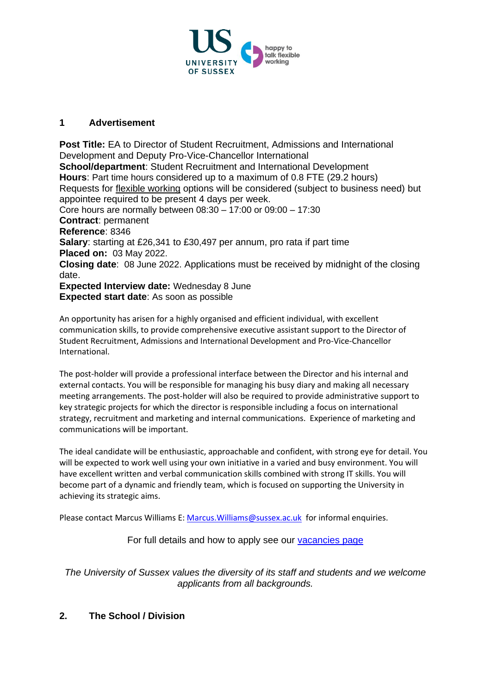

## **1 Advertisement**

**Post Title:** EA to Director of Student Recruitment, Admissions and International Development and Deputy Pro-Vice-Chancellor International **School/department**: Student Recruitment and International Development **Hours**: Part time hours considered up to a maximum of 0.8 FTE (29.2 hours) Requests for [flexible working](http://www.sussex.ac.uk/humanresources/personnel/flexible-working) options will be considered (subject to business need) but appointee required to be present 4 days per week. Core hours are normally between 08:30 – 17:00 or 09:00 – 17:30 **Contract**: permanent **Reference**: 8346 **Salary**: starting at £26,341 to £30,497 per annum, pro rata if part time **Placed on:** 03 May 2022. **Closing date**: 08 June 2022. Applications must be received by midnight of the closing date. **Expected Interview date:** Wednesday 8 June **Expected start date**: As soon as possible

An opportunity has arisen for a highly organised and efficient individual, with excellent communication skills, to provide comprehensive executive assistant support to the Director of Student Recruitment, Admissions and International Development and Pro-Vice-Chancellor International.

The post-holder will provide a professional interface between the Director and his internal and external contacts. You will be responsible for managing his busy diary and making all necessary meeting arrangements. The post-holder will also be required to provide administrative support to key strategic projects for which the director is responsible including a focus on international strategy, recruitment and marketing and internal communications. Experience of marketing and communications will be important.

The ideal candidate will be enthusiastic, approachable and confident, with strong eye for detail. You will be expected to work well using your own initiative in a varied and busy environment. You will have excellent written and verbal communication skills combined with strong IT skills. You will become part of a dynamic and friendly team, which is focused on supporting the University in achieving its strategic aims.

Please contact Marcus Williams E[: Marcus.Williams@sussex.ac.uk](mailto:Marcus.Williams@sussex.ac.uk) for informal enquiries.

For full details and how to apply see our [vacancies page](http://www.sussex.ac.uk/about/jobs)

*The University of Sussex values the diversity of its staff and students and we welcome applicants from all backgrounds.*

# **2. The School / Division**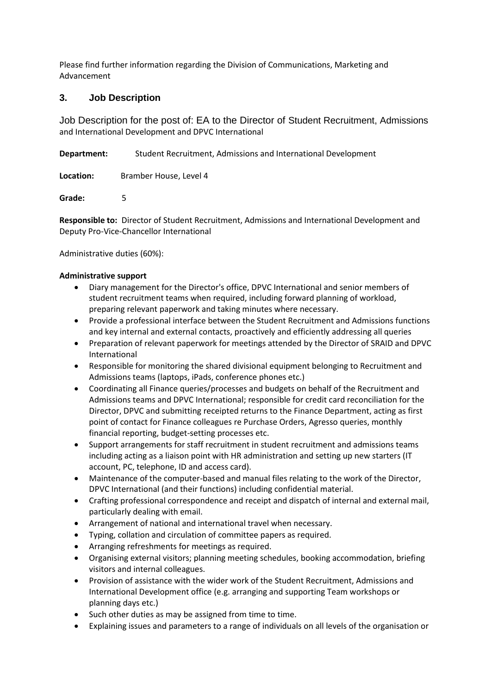Please find further information regarding the Division of Communications, Marketing and Advancement

### **3. Job Description**

Job Description for the post of: EA to the Director of Student Recruitment, Admissions and International Development and DPVC International

**Department:** Student Recruitment, Admissions and International Development

**Location:** Bramber House, Level 4

**Grade:** 5

**Responsible to:** Director of Student Recruitment, Admissions and International Development and Deputy Pro-Vice-Chancellor International

Administrative duties (60%):

#### **Administrative support**

- Diary management for the Director's office, DPVC International and senior members of student recruitment teams when required, including forward planning of workload, preparing relevant paperwork and taking minutes where necessary.
- Provide a professional interface between the Student Recruitment and Admissions functions and key internal and external contacts, proactively and efficiently addressing all queries
- Preparation of relevant paperwork for meetings attended by the Director of SRAID and DPVC International
- Responsible for monitoring the shared divisional equipment belonging to Recruitment and Admissions teams (laptops, iPads, conference phones etc.)
- Coordinating all Finance queries/processes and budgets on behalf of the Recruitment and Admissions teams and DPVC International; responsible for credit card reconciliation for the Director, DPVC and submitting receipted returns to the Finance Department, acting as first point of contact for Finance colleagues re Purchase Orders, Agresso queries, monthly financial reporting, budget-setting processes etc.
- Support arrangements for staff recruitment in student recruitment and admissions teams including acting as a liaison point with HR administration and setting up new starters (IT account, PC, telephone, ID and access card).
- Maintenance of the computer-based and manual files relating to the work of the Director, DPVC International (and their functions) including confidential material.
- Crafting professional correspondence and receipt and dispatch of internal and external mail, particularly dealing with email.
- Arrangement of national and international travel when necessary.
- Typing, collation and circulation of committee papers as required.
- Arranging refreshments for meetings as required.
- Organising external visitors; planning meeting schedules, booking accommodation, briefing visitors and internal colleagues.
- Provision of assistance with the wider work of the Student Recruitment, Admissions and International Development office (e.g. arranging and supporting Team workshops or planning days etc.)
- Such other duties as may be assigned from time to time.
- Explaining issues and parameters to a range of individuals on all levels of the organisation or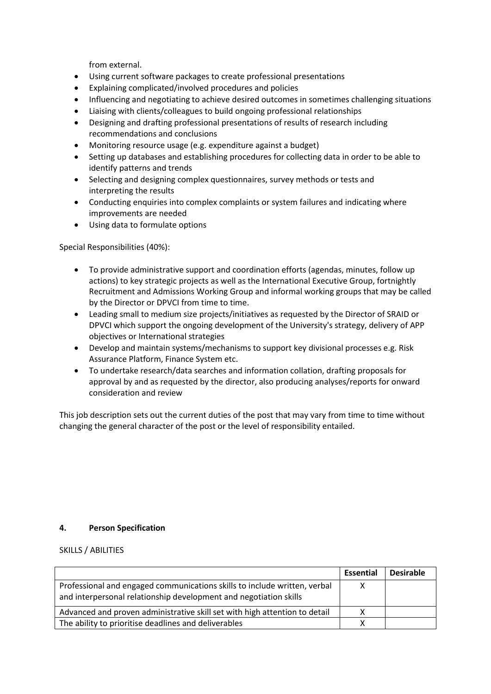from external.

- Using current software packages to create professional presentations
- Explaining complicated/involved procedures and policies
- Influencing and negotiating to achieve desired outcomes in sometimes challenging situations
- Liaising with clients/colleagues to build ongoing professional relationships
- Designing and drafting professional presentations of results of research including recommendations and conclusions
- Monitoring resource usage (e.g. expenditure against a budget)
- Setting up databases and establishing procedures for collecting data in order to be able to identify patterns and trends
- Selecting and designing complex questionnaires, survey methods or tests and interpreting the results
- Conducting enquiries into complex complaints or system failures and indicating where improvements are needed
- Using data to formulate options

Special Responsibilities (40%):

- To provide administrative support and coordination efforts (agendas, minutes, follow up actions) to key strategic projects as well as the International Executive Group, fortnightly Recruitment and Admissions Working Group and informal working groups that may be called by the Director or DPVCI from time to time.
- Leading small to medium size projects/initiatives as requested by the Director of SRAID or DPVCI which support the ongoing development of the University's strategy, delivery of APP objectives or International strategies
- Develop and maintain systems/mechanisms to support key divisional processes e.g. Risk Assurance Platform, Finance System etc.
- To undertake research/data searches and information collation, drafting proposals for approval by and as requested by the director, also producing analyses/reports for onward consideration and review

This job description sets out the current duties of the post that may vary from time to time without changing the general character of the post or the level of responsibility entailed.

#### **4. Person Specification**

SKILLS / ABILITIES

|                                                                                                                                                | Essential | <b>Desirable</b> |
|------------------------------------------------------------------------------------------------------------------------------------------------|-----------|------------------|
| Professional and engaged communications skills to include written, verbal<br>and interpersonal relationship development and negotiation skills |           |                  |
| Advanced and proven administrative skill set with high attention to detail                                                                     |           |                  |
| The ability to prioritise deadlines and deliverables                                                                                           |           |                  |